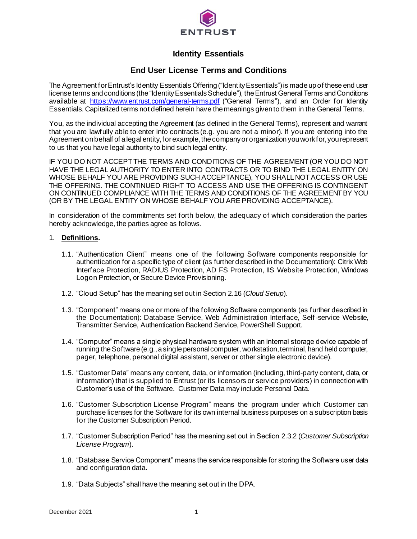

# **Identity Essentials**

# **End User License Terms and Conditions**

The Agreement for Entrust's Identity Essentials Offering ("Identity Essentials") is made up of these end user license terms and conditions (the "Identity Essentials Schedule"), the Entrust General Terms and Conditions available at <https://www.entrust.com/general-terms.pdf> ("General Terms"), and an Order for Identity Essentials. Capitalized terms not defined herein have the meanings given to them in the General Terms.

You, as the individual accepting the Agreement (as defined in the General Terms), represent and warrant that you are lawfully able to enter into contracts (e.g. you are not a minor). If you are entering into the Agreement on behalf of a legal entity, for example, the company or organization you work for, you represent to us that you have legal authority to bind such legal entity.

IF YOU DO NOT ACCEPT THE TERMS AND CONDITIONS OF THE AGREEMENT (OR YOU DO NOT HAVE THE LEGAL AUTHORITY TO ENTER INTO CONTRACTS OR TO BIND THE LEGAL ENTITY ON WHOSE BEHALF YOU ARE PROVIDING SUCH ACCEPTANCE), YOU SHALL NOT ACCESS OR USE THE OFFERING. THE CONTINUED RIGHT TO ACCESS AND USE THE OFFERING IS CONTINGENT ON CONTINUED COMPLIANCE WITH THE TERMS AND CONDITIONS OF THE AGREEMENT BY YOU (OR BY THE LEGAL ENTITY ON WHOSE BEHALF YOU ARE PROVIDING ACCEPTANCE).

In consideration of the commitments set forth below, the adequacy of which consideration the parties hereby acknowledge, the parties agree as follows.

## 1. **Definitions.**

- 1.1. "Authentication Client" means one of the following Software components responsible for authentication for a specific type of client (as further described in the Documentation): Citrix Web Interface Protection, RADIUS Protection, AD FS Protection, IIS Website Protec tion, Windows Logon Protection, or Secure Device Provisioning.
- 1.2. "Cloud Setup" has the meaning set out in Section 2.16 (*Cloud Setup*).
- 1.3. "Component" means one or more of the following Software components (as further described in the Documentation): Database Service, Web Administration Interface, Self -service Website, Transmitter Service, Authentication Backend Service, PowerShell Support.
- 1.4. "Computer" means a single physical hardware system with an internal storage device capable of running the Software (e.g., a single personal computer, workstation, terminal, hand held computer, pager, telephone, personal digital assistant, server or other single electronic device).
- 1.5. "Customer Data" means any content, data, or information (including, third-party content, data, or information) that is supplied to Entrust (or its licensors or service providers) in connection with Customer's use of the Software. Customer Data may include Personal Data.
- 1.6. "Customer Subscription License Program" means the program under which Customer can purchase licenses for the Software for its own internal business purposes on a subscription basis for the Customer Subscription Period.
- 1.7. "Customer Subscription Period" has the meaning set out in Section 2.3.2 (*Customer Subscription License Program*).
- 1.8. "Database Service Component" means the service responsible for storing the Software user data and configuration data.
- 1.9. "Data Subjects" shall have the meaning set out in the DPA.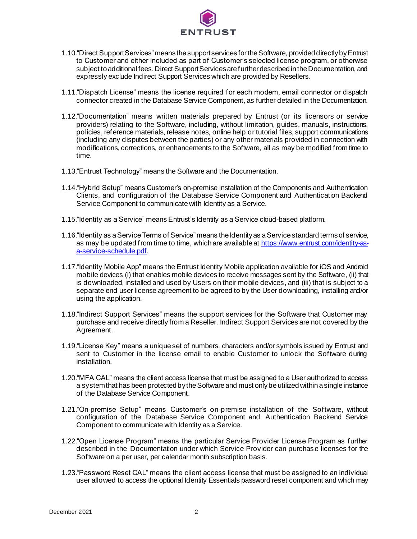

- 1.10."Direct Support Services" means the support services for the Software, provided directly by Entrust to Customer and either included as part of Customer's selected license program, or otherwise subject to additional fees. Direct Support Services are further described in the Documentation, and expressly exclude Indirect Support Services which are provided by Resellers.
- 1.11."Dispatch License" means the license required for each modem, email connector or dispatch connector created in the Database Service Component, as further detailed in the Documentation.
- 1.12."Documentation" means written materials prepared by Entrust (or its licensors or service providers) relating to the Software, including, without limitation, guides, manuals, instructions, policies, reference materials, release notes, online help or tutorial files, support communications (including any disputes between the parties) or any other materials provided in connection with modifications, corrections, or enhancements to the Software, all as may be modified from time to time.
- 1.13."Entrust Technology" means the Software and the Documentation.
- 1.14."Hybrid Setup" means Customer's on-premise installation of the Components and Authentication Clients, and configuration of the Database Service Component and Authentication Backend Service Component to communicate with Identity as a Service.
- 1.15."Identity as a Service" means Entrust's Identity as a Service cloud-based platform.
- 1.16."Identity as a Service Terms of Service" means the Identity as a Service standard terms of service, as may be updated from time to time, which are available a[t https://www.entrust.com/identity-as](https://www.entrust.com/identity-as-a-service-schedule.pdf)[a-service-schedule.pdf](https://www.entrust.com/identity-as-a-service-schedule.pdf).
- 1.17."Identity Mobile App" means the Entrust Identity Mobile application available for iOS and Android mobile devices (i) that enables mobile devices to receive messages sent by the Software, (ii) that is downloaded, installed and used by Users on their mobile devices, and (iii) that is subject to a separate end user license agreement to be agreed to by the User downloading, installing and/or using the application.
- 1.18."Indirect Support Services" means the support services for the Software that Customer may purchase and receive directly from a Reseller. Indirect Support Services are not covered by the Agreement.
- 1.19."License Key" means a unique set of numbers, characters and/or symbols issued by Entrust and sent to Customer in the license email to enable Customer to unlock the Software during installation.
- 1.20."MFA CAL" means the client access license that must be assigned to a User authorized to access a system that has been protected by the Software and must only be utilized within a single instance of the Database Service Component.
- 1.21."On-premise Setup" means Customer's on-premise installation of the Software, without configuration of the Database Service Component and Authentication Backend Service Component to communicate with Identity as a Service.
- 1.22."Open License Program" means the particular Service Provider License Program as further described in the Documentation under which Service Provider can purchase licenses for the Software on a per user, per calendar month subscription basis.
- 1.23."Password Reset CAL" means the client access license that must be assigned to an individual user allowed to access the optional Identity Essentials password reset component and which may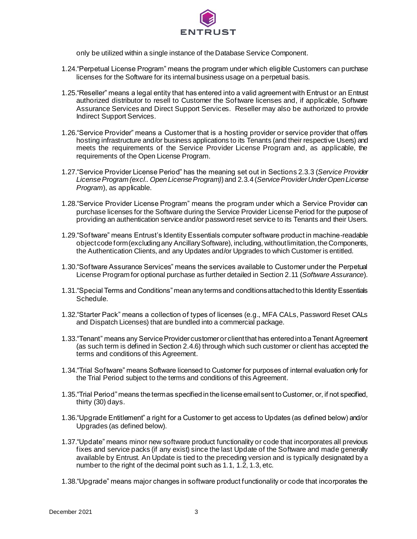

only be utilized within a single instance of the Database Service Component.

- 1.24."Perpetual License Program" means the program under which eligible Customers can purchase licenses for the Software for its internal business usage on a perpetual basis.
- 1.25."Reseller" means a legal entity that has entered into a valid agreement with Entrust or an Entrust authorized distributor to resell to Customer the Software licenses and, if applicable, Software Assurance Services and Direct Support Services. Reseller may also be authorized to provide Indirect Support Services.
- 1.26."Service Provider" means a Customer that is a hosting provider or service provider that offers hosting infrastructure and/or business applications to its Tenants (and their respective Users) and meets the requirements of the Service Provider License Program and, as applicable, the requirements of the Open License Program.
- 1.27."Service Provider License Period" has the meaning set out in Sections 2.3.3 (*Service Provider License Program (excl.. Open License Program)*) and 2.3.4 (*Service Provider Under Open License Program*), as applicable.
- 1.28."Service Provider License Program" means the program under which a Service Provider can purchase licenses for the Software during the Service Provider License Period for the purpose of providing an authentication service and/or password reset service to its Tenants and their Users.
- 1.29."Software" means Entrust's Identity Essentials computer software product in machine-readable object code form (excluding any Ancillary Software), including, without limitation, the Components, the Authentication Clients, and any Updates and/or Upgrades to which Customer is entitled.
- 1.30."Software Assurance Services" means the services available to Customer under the Perpetual License Program for optional purchase as further detailed in Section 2.11 (*Software Assurance*).
- 1.31."Special Terms and Conditions" mean any terms and conditions attached to this Identity Essentials Schedule.
- 1.32."Starter Pack" means a collection of types of licenses (e.g., MFA CALs, Password Reset CALs and Dispatch Licenses) that are bundled into a commercial package.
- 1.33."Tenant" means any Service Provider customer or client that has entered into a Tenant Agreement (as such term is defined in Section 2.4.6) through which such customer or client has accepted the terms and conditions of this Agreement.
- 1.34."Trial Software" means Software licensed to Customer for purposes of internal evaluation only for the Trial Period subject to the terms and conditions of this Agreement.
- 1.35."Trial Period" means the term as specified in the license email sent to Customer, or, if not specified, thirty (30) days.
- 1.36."Upgrade Entitlement" a right for a Customer to get access to Updates (as defined below) and/or Upgrades (as defined below).
- 1.37."Update" means minor new software product functionality or code that incorporates all previous fixes and service packs (if any exist) since the last Update of the Software and made generally available by Entrust. An Update is tied to the preceding version and is typically designated by a number to the right of the decimal point such as 1.1, 1.2, 1.3, etc.
- 1.38."Upgrade" means major changes in software product functionality or code that incorporates the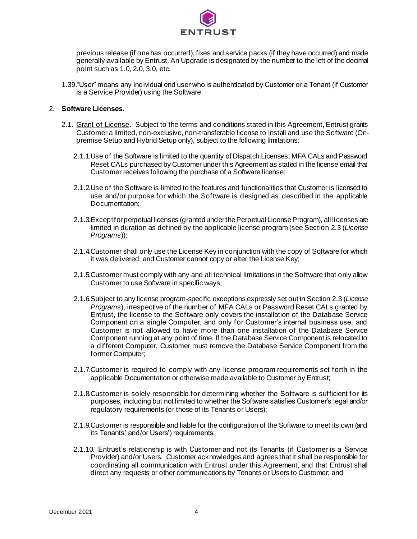

previous release (if one has occurred), fixes and service packs (if they have occurred) and made generally available by Entrust. An Upgrade is designated by the number to the left of the decimal point such as 1.0, 2.0, 3.0, etc.

1.39."User" means any individual end user who is authenticated by Customer or a Tenant (if Customer is a Service Provider) using the Software.

## 2. **Software Licenses.**

- 2.1. Grant of License**.** Subject to the terms and conditions stated in this Agreement, Entrust grants Customer a limited, non-exclusive, non-transferable license to install and use the Software (Onpremise Setup and Hybrid Setup only), subject to the following limitations:
	- 2.1.1.Use of the Software is limited to the quantity of Dispatch Licenses, MFA CALs and Password Reset CALs purchased by Customer under this Agreement as stated in the license email that Customer receives following the purchase of a Software license;
	- 2.1.2.Use of the Software is limited to the features and functionalities that Customer is licensed to use and/or purpose for which the Software is designed as described in the applicable Documentation;
	- 2.1.3.Except for perpetual licenses (granted under the Perpetual License Program), all licenses are limited in duration as defined by the applicable license program (see Section 2.3 (*License Programs*));
	- 2.1.4.Customer shall only use the License Key in conjunction with the copy of Software for which it was delivered, and Customer cannot copy or alter the License Key;
	- 2.1.5.Customer must comply with any and all technical limitations in the Software that only allow Customer to use Software in specific ways;
	- 2.1.6.Subject to any license program-specific exceptions expressly set out in Section 2.3 (*License Programs*), irrespective of the number of MFA CALs or Password Reset CALs granted by Entrust, the license to the Software only covers the installation of the Database Service Component on a single Computer, and only for Customer's internal business use, and Customer is not allowed to have more than one installation of the Database Service Component running at any point of time. If the Database Service Component is relocated to a different Computer, Customer must remove the Database Service Component from the former Computer;
	- 2.1.7.Customer is required to comply with any license program requirements set forth in the applicable Documentation or otherwise made available to Customer by Entrust;
	- 2.1.8.Customer is solely responsible for determining whether the Software is sufficient for its purposes, including but not limited to whether the Software satisfies Customer's legal and/or regulatory requirements (or those of its Tenants or Users);
	- 2.1.9.Customer is responsible and liable for the configuration of the Software to meet its own (and its Tenants' and/or Users') requirements;
	- 2.1.10. Entrust's relationship is with Customer and not its Tenants (if Customer is a Service Provider) and/or Users. Customer acknowledges and agrees that it shall be responsible for coordinating all communication with Entrust under this Agreement, and that Entrust shall direct any requests or other communications by Tenants or Users to Customer; and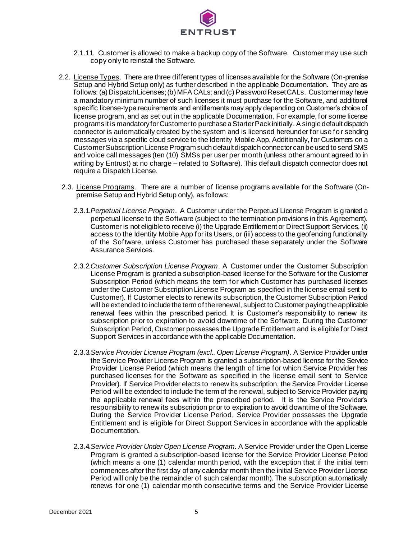

- 2.1.11. Customer is allowed to make a backup copy of the Software. Customer may use such copy only to reinstall the Software.
- 2.2. License Types. There are three different types of licenses available for the Software (On-premise Setup and Hybrid Setup only) as further described in the applicable Documentation. They are as follows: (a) Dispatch Licenses; (b) MFA CALs; and (c) Password Reset CALs. Customer may have a mandatory minimum number of such licenses it must purchase for the Software, and additional specific license-type requirements and entitlements may apply depending on Customer's choice of license program, and as set out in the applicable Documentation. For example, for some license programs it is mandatory for Customer to purchase a Starter Pack initially. A single default dispatch connector is automatically created by the system and is licensed hereunder for use fo r sending messages via a specific cloud service to the Identity Mobile App. Additionally, for Customers on a Customer Subscription License Program such default dispatch connector can be used to send SMS and voice call messages (ten (10) SMSs per user per month (unless other amount agreed to in writing by Entrust) at no charge – related to Software). This default dispatch connector does not require a Dispatch License.
- 2.3. License Programs. There are a number of license programs available for the Software (Onpremise Setup and Hybrid Setup only), as follows:
	- 2.3.1.*Perpetual License Program*. A Customer under the Perpetual License Program is granted a perpetual license to the Software (subject to the termination provisions in this Agreement). Customer is not eligible to receive (i) the Upgrade Entitlement or Direct Support Services, (ii) access to the Identity Mobile App for its Users, or (iii) access to the geofencing functionality of the Software, unless Customer has purchased these separately under the Software Assurance Services.
	- 2.3.2.*Customer Subscription License Program*. A Customer under the Customer Subscription License Program is granted a subscription-based license for the Software for the Customer Subscription Period (which means the term for which Customer has purchased licenses under the Customer Subscription License Program as specified in the license email sent to Customer). If Customer elects to renew its subscription, the Customer Subscription Period will be extended to include the term of the renewal, subject to Customer paying the applicable renewal fees within the prescribed period. It is Customer's responsibility to renew its subscription prior to expiration to avoid downtime of the Software. During the Customer Subscription Period, Customer possesses the Upgrade Entitlement and is eligible for Direct Support Services in accordance with the applicable Documentation.
	- 2.3.3.*Service Provider License Program (excl.. Open License Program)*. A Service Provider under the Service Provider License Program is granted a subscription-based license for the Service Provider License Period (which means the length of time for which Service Provider has purchased licenses for the Software as specified in the license email sent to Service Provider). If Service Provider elects to renew its subscription, the Service Provider License Period will be extended to include the term of the renewal, subject to Service Provider paying the applicable renewal fees within the prescribed period. It is the Service Provider's responsibility to renew its subscription prior to expiration to avoid downtime of the Software. During the Service Provider License Period, Service Provider possesses the Upgrade Entitlement and is eligible for Direct Support Services in accordance with the applicable Documentation.
	- 2.3.4.*Service Provider Under Open License Program*. A Service Provider under the Open License Program is granted a subscription-based license for the Service Provider License Period (which means a one (1) calendar month period, with the exception that if the initial term commences after the first day of any calendar month then the initial Service Provider License Period will only be the remainder of such calendar month). The subscription automatically renews for one (1) calendar month consecutive terms and the Service Provider License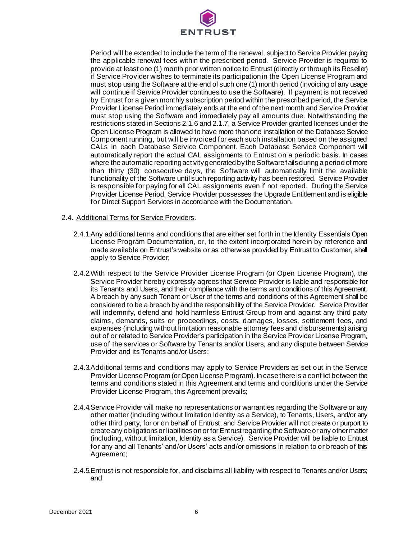

Period will be extended to include the term of the renewal, subject to Service Provider paying the applicable renewal fees within the prescribed period. Service Provider is required to provide at least one (1) month prior written notice to Entrust (directly or through its Reseller) if Service Provider wishes to terminate its participation in the Open License Program and must stop using the Software at the end of such one (1) month period (invoicing of any usage will continue if Service Provider continues to use the Software). If payment is not received by Entrust for a given monthly subscription period within the prescribed period, the Service Provider License Period immediately ends at the end of the next month and Service Provider must stop using the Software and immediately pay all amounts due. Notwithstanding the restrictions stated in Sections 2.1.6 and 2.1.7, a Service Provider granted licenses under the Open License Program is allowed to have more than one installation of the Database Service Component running, but will be invoiced for each such installation based on the assigned CALs in each Database Service Component. Each Database Service Component will automatically report the actual CAL assignments to Entrust on a periodic basis. In cases where the automatic reporting activity generated by the Software fails during a period of more than thirty (30) consecutive days, the Software will automatically limit the available functionality of the Software until such reporting activity has been restored. Service Provider is responsible for paying for all CAL assignments even if not reported. During the Service Provider License Period, Service Provider possesses the Upgrade Entitlement and is eligible for Direct Support Services in accordance with the Documentation.

#### 2.4. Additional Terms for Service Providers.

- 2.4.1.Any additional terms and conditions that are either set forth in the Identity Essentials Open License Program Documentation, or, to the extent incorporated herein by reference and made available on Entrust's website or as otherwise provided by Entrust to Customer, shall apply to Service Provider;
- 2.4.2.With respect to the Service Provider License Program (or Open License Program), the Service Provider hereby expressly agrees that Service Provider is liable and responsible for its Tenants and Users, and their compliance with the terms and conditions of this Agreement. A breach by any such Tenant or User of the terms and conditions of this Agreement shall be considered to be a breach by and the responsibility of the Service Provider. Service Provider will indemnify, defend and hold harmless Entrust Group from and against any third party claims, demands, suits or proceedings, costs, damages, losses, settlement fees, and expenses (including without limitation reasonable attorney fees and disbursements) arising out of or related to Service Provider's participation in the Service Provider License Program, use of the services or Software by Tenants and/or Users, and any dispute between Service Provider and its Tenants and/or Users;
- 2.4.3.Additional terms and conditions may apply to Service Providers as set out in the Service Provider License Program (or Open License Program). In case there is a conflict between the terms and conditions stated in this Agreement and terms and conditions under the Service Provider License Program, this Agreement prevails;
- 2.4.4.Service Provider will make no representations or warranties regarding the Software or any other matter (including without limitation Identity as a Service), to Tenants, Users, and/or any other third party, for or on behalf of Entrust, and Service Provider will not create or purport to create any obligations or liabilities on or for Entrust regarding the Software or any other matter (including, without limitation, Identity as a Service). Service Provider will be liable to Entrust for any and all Tenants' and/or Users' acts and/or omissions in relation to or breach of this Agreement;
- 2.4.5.Entrust is not responsible for, and disclaims all liability with respect to Tenants and/or Users; and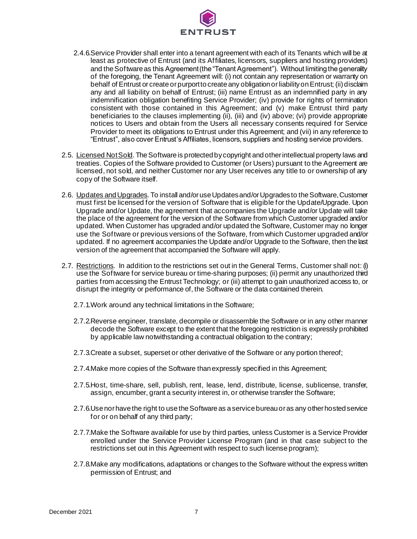

- 2.4.6.Service Provider shall enter into a tenant agreement with each of its Tenants which will be at least as protective of Entrust (and its Affiliates, licensors, suppliers and hosting providers) and the Software as this Agreement (the "Tenant Agreement"). Without limiting the generality of the foregoing, the Tenant Agreement will: (i) not contain any representation or warranty on behalf of Entrust or create or purport to create any obligation or liability on Entrust; (ii) disclaim any and all liability on behalf of Entrust; (iii) name Entrust as an indemnified party in any indemnification obligation benefiting Service Provider; (iv) provide for rights of termination consistent with those contained in this Agreement; and (v) make Entrust third party beneficiaries to the clauses implementing (ii), (iii) and (iv) above; (vi) provide appropriate notices to Users and obtain from the Users all necessary consents required for Service Provider to meet its obligations to Entrust under this Agreement; and (vii) in any reference to "Entrust", also cover Entrust's Affiliates, licensors, suppliers and hosting service providers.
- 2.5. Licensed Not Sold. The Software is protected by copyright and other intellectual property laws and treaties. Copies of the Software provided to Customer (or Users) pursuant to the Agreement are licensed, not sold, and neither Customer nor any User receives any title to or ownership of any copy of the Software itself.
- 2.6. Updates and Upgrades. To install and/or use Updates and/or Upgrades to the Software, Customer must first be licensed for the version of Software that is eligible for the Update/Upgrade. Upon Upgrade and/or Update, the agreement that accompanies the Upgrade and/or Update will take the place of the agreement for the version of the Software from which Customer upgraded and/or updated. When Customer has upgraded and/or updated the Software, Customer may no longer use the Software or previous versions of the Software, from which Customer upgraded and/or updated. If no agreement accompanies the Update and/or Upgrade to the Software, then the last version of the agreement that accompanied the Software will apply.
- 2.7. Restrictions. In addition to the restrictions set out in the General Terms, Customer shall not: (i) use the Software for service bureau or time-sharing purposes; (ii) permit any unauthorized third parties from accessing the Entrust Technology; or (iii) attempt to gain unauthorized access to, or disrupt the integrity or performance of, the Software or the data contained therein.
	- 2.7.1.Work around any technical limitations in the Software;
	- 2.7.2.Reverse engineer, translate, decompile or disassemble the Software or in any other manner decode the Software except to the extent that the foregoing restriction is expressly prohibited by applicable law notwithstanding a contractual obligation to the contrary;
	- 2.7.3.Create a subset, superset or other derivative of the Software or any portion thereof;
	- 2.7.4.Make more copies of the Software than expressly specified in this Agreement;
	- 2.7.5.Host, time-share, sell, publish, rent, lease, lend, distribute, license, sublicense, transfer, assign, encumber, grant a security interest in, or otherwise transfer the Software;
	- 2.7.6.Use nor have the right to use the Software as a service bureau or as any other hosted service for or on behalf of any third party;
	- 2.7.7.Make the Software available for use by third parties, unless Customer is a Service Provider enrolled under the Service Provider License Program (and in that case subject to the restrictions set out in this Agreement with respect to such license program);
	- 2.7.8.Make any modifications, adaptations or changes to the Software without the express written permission of Entrust; and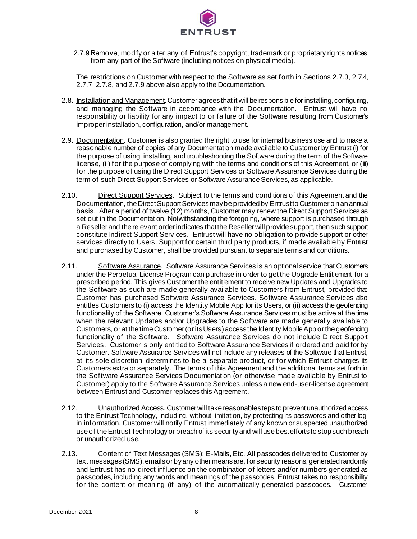

2.7.9.Remove, modify or alter any of Entrust's copyright, trademark or proprietary rights notices from any part of the Software (including notices on physical media).

The restrictions on Customer with respect to the Software as set forth in Sections 2.7.3, 2.7.4, 2.7.7, 2.7.8, and 2.7.9 above also apply to the Documentation.

- 2.8. Installation and Management. Customer agrees that it will be responsible for installing, configuring, and managing the Software in accordance with the Documentation. Entrust will have no responsibility or liability for any impact to or failure of the Software resulting from Customer's improper installation, configuration, and/or management.
- 2.9. Documentation. Customer is also granted the right to use for internal business use and to make a reasonable number of copies of any Documentation made available to Customer by Entrust (i) for the purpose of using, installing, and troubleshooting the Software during the term of the Software license, (ii) for the purpose of complying with the terms and conditions of this Agreement, or (iii) for the purpose of using the Direct Support Services or Software Assurance Services during the term of such Direct Support Services or Software Assurance Services, as applicable.
- 2.10. Direct Support Services. Subject to the terms and conditions of this Agreement and the Documentation, the Direct Support Services may be provided by Entrust to Customer o n an annual basis. After a period of twelve (12) months, Customer may renew the Direct Support Services as set out in the Documentation. Notwithstanding the foregoing, where support is purchased through a Reseller and the relevant order indicates that the Reseller will provide support, then such support constitute Indirect Support Services. Entrust will have no obligation to provide support or other services directly to Users. Support for certain third party products, if made available by Entrust and purchased by Customer, shall be provided pursuant to separate terms and conditions.
- 2.11. Software Assurance. Software Assurance Services is an optional service that Customers under the Perpetual License Program can purchase in order to get the Upgrade Entitlement for a prescribed period. This gives Customer the entitlement to receive new Updates and Upgrades to the Software as such are made generally available to Customers from Entrust, provided that Customer has purchased Software Assurance Services. Software Assurance Services also entitles Customers to (i) access the Identity Mobile App for its Users, or (ii) access the geofencing functionality of the Software. Customer's Software Assurance Services must be active at the time when the relevant Updates and/or Upgrades to the Software are made generally available to Customers, or at the time Customer (or its Users) access the Identity Mobile App or the geofencing functionality of the Software. Software Assurance Services do not include Direct Support Services. Customer is only entitled to Software Assurance Services if ordered and paid for by Customer. Software Assurance Services will not include any releases of the Software that Entrust, at its sole discretion, determines to be a separate product, or for which Entrust charges its Customers extra or separately. The terms of this Agreement and the additional terms set forth in the Software Assurance Services Documentation (or otherwise made available by Entrust to Customer) apply to the Software Assurance Services unless a new end-user-license agreement between Entrust and Customer replaces this Agreement.
- 2.12. Unauthorized Access. Customer will take reasonable steps to prevent unauthorized access to the Entrust Technology, including, without limitation, by protecting its passwords and other login information. Customer will notify Entrust immediately of any known or suspected unauthorized use of the Entrust Technologyor breach of its security and will use best efforts to stop such breach or unauthorized use.
- 2.13. Content of Text Messages (SMS); E-Mails, Etc. All passcodes delivered to Customer by text messages (SMS), emails or by any other means are, for security reasons, generated randomly and Entrust has no direct influence on the combination of letters and/or numbers generated as passcodes, including any words and meanings of the passcodes. Entrust takes no responsibility for the content or meaning (if any) of the automatically generated passcodes. Customer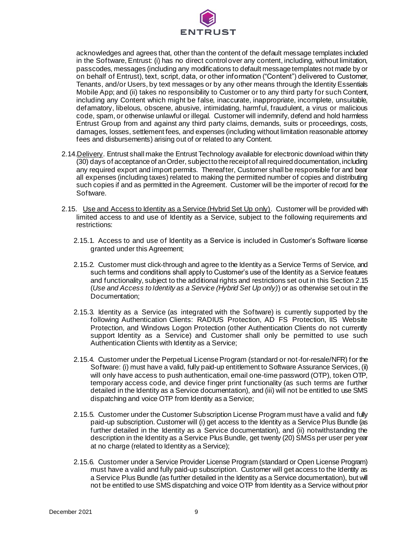

acknowledges and agrees that, other than the content of the default message templates included in the Software, Entrust: (i) has no direct control over any content, including, without limitation, passcodes, messages (including any modifications to default message templates not made by or on behalf of Entrust), text, script, data, or other information ("Content") delivered to Customer, Tenants, and/or Users, by text messages or by any other means through the Identity Essentials Mobile App; and (ii) takes no responsibility to Customer or to any third party for such Content, including any Content which might be false, inaccurate, inappropriate, incomplete, unsuitable, defamatory, libelous, obscene, abusive, intimidating, harmful, fraudulent, a virus or malicious code, spam, or otherwise unlawful or illegal. Customer will indemnify, defend and hold harmless Entrust Group from and against any third party claims, demands, suits or proceedings, costs, damages, losses, settlement fees, and expenses (including without limitation reasonable attorney fees and disbursements) arising out of or related to any Content.

- 2.14.Delivery. Entrust shall make the Entrust Technology available for electronic download within thirty (30) days of acceptance of an Order, subject to the receipt of all required documentation, including any required export and import permits. Thereafter, Customer shall be responsible for and bear all expenses (including taxes) related to making the permitted number of copies and distributing such copies if and as permitted in the Agreement. Customer will be the importer of record for the Software.
- 2.15. Use and Access to Identity as a Service (Hybrid Set Up only). Customer will be provided with limited access to and use of Identity as a Service, subject to the following requirements and restrictions:
	- 2.15.1. Access to and use of Identity as a Service is included in Customer's Software license granted under this Agreement;
	- 2.15.2. Customer must click-through and agree to the Identity as a Service Terms of Service, and such terms and conditions shall apply to Customer's use of the Identity as a Service features and functionality, subject to the additional rights and restrictions set out in this Section 2.15 (*Use and Access to Identity as a Service (Hybrid Set Up only)*) or as otherwise set out in the Documentation;
	- 2.15.3. Identity as a Service (as integrated with the Software) is currently supported by the following Authentication Clients: RADIUS Protection, AD FS Protection, IIS Website Protection, and Windows Logon Protection (other Authentication Clients do not currently support Identity as a Service) and Customer shall only be permitted to use such Authentication Clients with Identity as a Service;
	- 2.15.4. Customer under the Perpetual License Program (standard or not-for-resale/NFR) for the Software: (i) must have a valid, fully paid-up entitlement to Software Assurance Services, (ii) will only have access to push authentication, email one-time password (OTP), token OTP, temporary access code, and device finger print functionality (as such terms are further detailed in the Identity as a Service documentation), and (iii) will not be entitled to use SMS dispatching and voice OTP from Identity as a Service;
	- 2.15.5. Customer under the Customer Subscription License Program must have a valid and fully paid-up subscription. Customer will (i) get access to the Identity as a Service Plus Bundle (as further detailed in the Identity as a Service documentation), and (ii) notwithstanding the description in the Identity as a Service Plus Bundle, get twenty (20) SMSs per user per year at no charge (related to Identity as a Service);
	- 2.15.6. Customer under a Service Provider License Program (standard or Open License Program) must have a valid and fully paid-up subscription. Customer will get access to the Identity as a Service Plus Bundle (as further detailed in the Identity as a Service documentation), but will not be entitled to use SMS dispatching and voice OTP from Identity as a Service without prior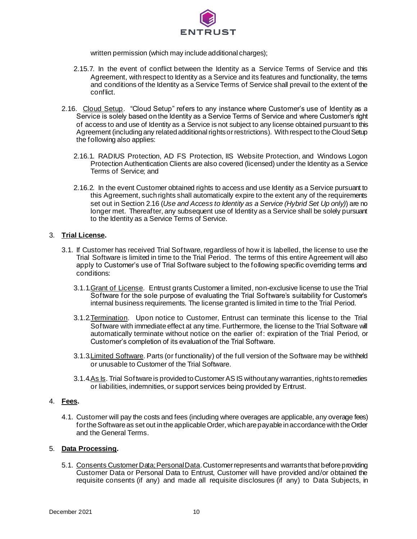

written permission (which may include additional charges);

- 2.15.7. In the event of conflict between the Identity as a Service Terms of Service and this Agreement, with respect to Identity as a Service and its features and functionality, the terms and conditions of the Identity as a Service Terms of Service shall prevail to the extent of the conflict.
- 2.16. Cloud Setup. "Cloud Setup" refers to any instance where Customer's use of Identity as a Service is solely based on the Identity as a Service Terms of Service and where Customer's right of access to and use of Identity as a Service is not subject to any license obtained pursuant to this Agreement (including any related additional rights or restrictions). With respect to the Cloud Setup the following also applies:
	- 2.16.1. RADIUS Protection, AD FS Protection, IIS Website Protection, and Windows Logon Protection Authentication Clients are also covered (licensed) under the Identity as a Service Terms of Service; and
	- 2.16.2. In the event Customer obtained rights to access and use Identity as a Service pursuant to this Agreement, such rights shall automatically expire to the extent any of the requirements set out in Section 2.16 (Use and Access to Identity as a Service (Hybrid Set Up only)) are no longer met. Thereafter, any subsequent use of Identity as a Service shall be solely pursuant to the Identity as a Service Terms of Service.

## 3. **Trial License.**

- 3.1. If Customer has received Trial Software, regardless of how it is labelled, the license to use the Trial Software is limited in time to the Trial Period. The terms of this entire Agreement will also apply to Customer's use of Trial Software subject to the following specific overriding terms and conditions:
	- 3.1.1.Grant of License. Entrust grants Customer a limited, non-exclusive license to use the Trial Software for the sole purpose of evaluating the Trial Software's suitability for Customer's internal business requirements. The license granted is limited in time to the Trial Period.
	- 3.1.2.Termination. Upon notice to Customer, Entrust can terminate this license to the Trial Software with immediate effect at any time. Furthermore, the license to the Trial Software will automatically terminate without notice on the earlier of: expiration of the Trial Period, or Customer's completion of its evaluation of the Trial Software.
	- 3.1.3. Limited Software. Parts (or functionality) of the full version of the Software may be withheld or unusable to Customer of the Trial Software.
	- 3.1.4.As Is. Trial Software is provided to Customer AS IS without any warranties, rights to remedies or liabilities, indemnities, or support services being provided by Entrust.

#### 4. **Fees.**

4.1. Customer will pay the costs and fees (including where overages are applicable, any overage fees) for the Software as set out in the applicable Order, which are payable in accordance with the Order and the General Terms.

#### 5. **Data Processing.**

5.1. Consents Customer Data; Personal Data. Customer represents and warrants that before providing Customer Data or Personal Data to Entrust, Customer will have provided and/or obtained the requisite consents (if any) and made all requisite disclosures (if any) to Data Subjects, in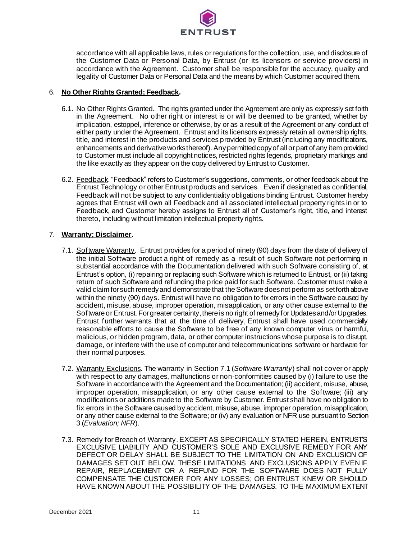

accordance with all applicable laws, rules or regulations for the collection, use, and disclosure of the Customer Data or Personal Data, by Entrust (or its licensors or service providers) in accordance with the Agreement. Customer shall be responsible for the accuracy, quality and legality of Customer Data or Personal Data and the means by which Customer acquired them.

# 6. **No Other Rights Granted; Feedback.**

- 6.1. No Other Rights Granted. The rights granted under the Agreement are only as expressly set forth in the Agreement. No other right or interest is or will be deemed to be granted, whether by implication, estoppel, inference or otherwise, by or as a result of the Agreement or any conduct of either party under the Agreement. Entrust and its licensors expressly retain all ownership rights, title, and interest in the products and services provided by Entrust (including any modifications, enhancements and derivative works thereof). Any permitted copy of all or part of any item provided to Customer must include all copyright notices, restricted rights legends, proprietary markings and the like exactly as they appear on the copy delivered by Entrust to Customer.
- 6.2. Feedback. "Feedback" refers to Customer's suggestions, comments, or other feedback about the Entrust Technology or other Entrust products and services. Even if designated as confidential, Feedback will not be subject to any confidentiality obligations binding Entrust. Customer hereby agrees that Entrust will own all Feedback and all associated intellectual property rights in or to Feedback, and Customer hereby assigns to Entrust all of Customer's right, title, and interest thereto, including without limitation intellectual property rights.

## 7. **Warranty; Disclaimer.**

- 7.1. Software Warranty. Entrust provides for a period of ninety (90) days from the date of delivery of the initial Software product a right of remedy as a result of such Software not performing in substantial accordance with the Documentation delivered with such Software consisting of, at Entrust's option, (i) repairing or replacing such Software which is returned to Entrust, or (ii) taking return of such Software and refunding the price paid for such Software. Customer must make a valid claim for such remedy and demonstrate that the Software does not perform as set forth above within the ninety (90) days. Entrust will have no obligation to fix errors in the Software caused by accident, misuse, abuse, improper operation, misapplication, or any other cause external to the Software or Entrust. For greater certainty, there is no right of remedy for Updates and/or Upgrades. Entrust further warrants that at the time of delivery, Entrust shall have used commercially reasonable efforts to cause the Software to be free of any known computer virus or harmful, malicious, or hidden program, data, or other computer instructions whose purpose is to disrupt, damage, or interfere with the use of computer and telecommunications software or hardware for their normal purposes.
- 7.2. Warranty Exclusions. The warranty in Section 7.1 (*Software Warranty*) shall not cover or apply with respect to any damages, malfunctions or non-conformities caused by (i) failure to use the Software in accordance with the Agreement and the Documentation; (ii) accident, misuse, abuse, improper operation, misapplication, or any other cause external to the Software; (iii) any modifications or additions made to the Software by Customer. Entrust shall have no obligation to fix errors in the Software caused by accident, misuse, abuse, improper operation, misapplication, or any other cause external to the Software; or (iv) any evaluation or NFR use pursuant to Section 3 (*Evaluation; NFR*).
- 7.3. Remedy for Breach of Warranty. EXCEPT AS SPECIFICALLY STATED HEREIN, ENTRUST'S EXCLUSIVE LIABILITY AND CUSTOMER'S SOLE AND EXCLUSIVE REMEDY FOR ANY DEFECT OR DELAY SHALL BE SUBJECT TO THE LIMITATION ON AND EXCLUSION OF DAMAGES SET OUT BELOW. THESE LIMITATIONS AND EXCLUSIONS APPLY EVEN IF REPAIR, REPLACEMENT OR A REFUND FOR THE SOFTWARE DOES NOT FULLY COMPENSATE THE CUSTOMER FOR ANY LOSSES; OR ENTRUST KNEW OR SHOULD HAVE KNOWN ABOUT THE POSSIBILITY OF THE DAMAGES. TO THE MAXIMUM EXTENT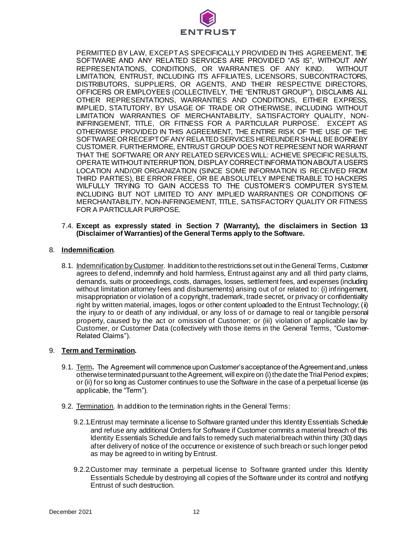

PERMITTED BY LAW, EXCEPT AS SPECIFICALLY PROVIDED IN THIS AGREEMENT, THE SOFTWARE AND ANY RELATED SERVICES ARE PROVIDED "AS IS", WITHOUT ANY REPRESENTATIONS, CONDITIONS, OR WARRANTIES OF ANY KIND. WITHOUT LIMITATION, ENTRUST, INCLUDING ITS AFFILIATES, LICENSORS, SUBCONTRACTORS, DISTRIBUTORS, SUPPLIERS, OR AGENTS, AND THEIR RESPECTIVE DIRECTORS, OFFICERS OR EMPLOYEES (COLLECTIVELY, THE "ENTRUST GROUP"), DISCLAIMS ALL OTHER REPRESENTATIONS, WARRANTIES AND CONDITIONS, EITHER EXPRESS, IMPLIED, STATUTORY, BY USAGE OF TRADE OR OTHERWISE, INCLUDING WITHOUT LIMITATION WARRANTIES OF MERCHANTABILITY, SATISFACTORY QUALITY, NON-INFRINGEMENT, TITLE, OR FITNESS FOR A PARTICULAR PURPOSE. EXCEPT AS OTHERWISE PROVIDED IN THIS AGREEMENT, THE ENTIRE RISK OF THE USE OF THE SOFTWARE OR RECEIPT OF ANY RELATED SERVICES HEREUNDER SHALL BE BORNE BY CUSTOMER. FURTHERMORE, ENTRUST GROUP DOES NOT REPRESENT NOR WARRANT THAT THE SOFTWARE OR ANY RELATED SERVICES WILL: ACHIEVE SPECIFIC RESULTS, OPERATE WITHOUT INTERRUPTION, DISPLAY CORRECT INFORMATION ABOUT A USER'S LOCATION AND/OR ORGANIZATION (SINCE SOME INFORMATION IS RECEIVED FROM THIRD PARTIES), BE ERROR FREE, OR BE ABSOLUTELY IMPENETRABLE TO HACKERS WILFULLY TRYING TO GAIN ACCESS TO THE CUSTOMER'S COMPUTER SYSTEM. INCLUDING BUT NOT LIMITED TO ANY IMPLIED WARRANTIES OR CONDITIONS OF MERCHANTABILITY, NON-INFRINGEMENT, TITLE, SATISFACTORY QUALITY OR FITNESS FOR A PARTICULAR PURPOSE.

#### 7.4. **Except as expressly stated in Section 7 (Warranty), the disclaimers in Section 13 (Disclaimer of Warranties) of the General Terms apply to the Software.**

## 8. **Indemnification**.

8.1. Indemnification by Customer. In addition to the restrictions set out in the General Terms, Customer agrees to defend, indemnify and hold harmless, Entrust against any and all third party claims, demands, suits or proceedings, costs, damages, losses, settlement fees, and expenses (including without limitation attorney fees and disbursements) arising out of or related to: (i) infringement, misappropriation or violation of a copyright, trademark, trade secret, or privacy or confidentiality right by written material, images, logos or other content uploaded to the Entrust Technology; (ii) the injury to or death of any individual, or any loss of or damage to real or tangible personal property, caused by the act or omission of Customer; or (iii) violation of applicable law by Customer, or Customer Data (collectively with those items in the General Terms, "Customer-Related Claims").

#### 9. **Term and Termination.**

- 9.1. Term**.** The Agreement will commence upon Customer's acceptance of the Agreement and, unless otherwise terminated pursuant to the Agreement, will expire on (i) the date the Trial Period expires; or (ii) for so long as Customer continues to use the Software in the case of a perpetual license (as applicable, the "Term").
- 9.2. Termination. In addition to the termination rights in the General Terms:
	- 9.2.1.Entrust may terminate a license to Software granted under this Identity Essentials Schedule and refuse any additional Orders for Software if Customer commits a material breach of this Identity Essentials Schedule and fails to remedy such material breach within thirty (30) days after delivery of notice of the occurrence or existence of such breach or such longer period as may be agreed to in writing by Entrust.
	- 9.2.2.Customer may terminate a perpetual license to Software granted under this Identity Essentials Schedule by destroying all copies of the Software under its control and notifying Entrust of such destruction.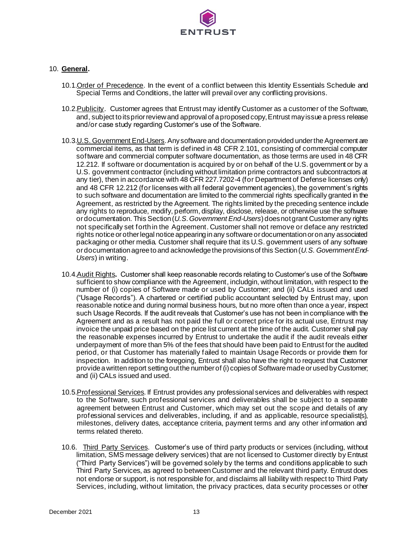

# 10. **General.**

- 10.1.Order of Precedence. In the event of a conflict between this Identity Essentials Schedule and Special Terms and Conditions, the latter will prevail over any conflicting provisions.
- 10.2. Publicity. Customer agrees that Entrust may identify Customer as a customer of the Software, and, subject to its prior review and approval of a proposed copy, Entrust may issue a press release and/or case study regarding Customer's use of the Software.
- 10.3.U.S. Government End-Users. Any software and documentation provided under the Agreement are commercial items, as that term is defined in 48 CFR 2.101, consisting of commercial computer software and commercial computer software documentation, as those terms are used in 48 CFR 12.212. If software or documentation is acquired by or on behalf of the U.S. government or by a U.S. government contractor (including without limitation prime contractors and subcontractors at any tier), then in accordance with 48 CFR 227.7202-4 (for Department of Defense licenses only) and 48 CFR 12.212 (for licenses with all federal government agencies), the government's rights to such software and documentation are limited to the commercial rights specifically granted in the Agreement, as restricted by the Agreement. The rights limited by the preceding sentence include any rights to reproduce, modify, perform, display, disclose, release, or otherwise use the software or documentation. This Section (*U.S. Government End-Users*) does not grant Customer any rights not specifically set forth in the Agreement. Customer shall not remove or deface any restricted rights notice or other legal notice appearing in any software or documentation or on any associated packaging or other media. Customer shall require that its U.S. government users of any software or documentation agree to and acknowledge the provisions of this Section (*U.S. Government End-Users*) in writing.
- 10.4.Audit Rights**.** Customer shall keep reasonable records relating to Customer's use of the Software sufficient to show compliance with the Agreement, includgin, without limitation, with respect to the number of (i) copies of Software made or used by Customer; and (ii) CALs issued and used ("Usage Records"). A chartered or certified public accountant selected by Entrust may, upon reasonable notice and during normal business hours, but no more often than once a year, inspect such Usage Records. If the audit reveals that Customer's use has not been in compliance with the Agreement and as a result has not paid the full or correct price for its actual use, Entrust may invoice the unpaid price based on the price list current at the time of the audit. Customer shall pay the reasonable expenses incurred by Entrust to undertake the audit if the audit reveals either underpayment of more than 5% of the fees that should have been paid to Entrust for the audited period, or that Customer has materially failed to maintain Usage Records or provide them for inspection. In addition to the foregoing, Entrust shall also have the right to request that Customer provide a written report setting out the number of (i) copies of Software made or used by Customer; and (ii) CALs issued and used.
- 10.5. Professional Services. If Entrust provides any professional services and deliverables with respect to the Software, such professional services and deliverables shall be subject to a separate agreement between Entrust and Customer, which may set out the scope and details of any professional services and deliverables, including, if and as applicable, resource specialist(s), milestones, delivery dates, acceptance criteria, payment terms and any other information and terms related thereto.
- 10.6. Third Party Services. Customer's use of third party products or services (including, without limitation, SMS message delivery services) that are not licensed to Customer directly by Entrust ("Third Party Services") will be governed solely by the terms and conditions applicable to such Third Party Services, as agreed to between Customer and the relevant third party. Entrust does not endorse or support, is not responsible for, and disclaims all liability with respect to Third Party Services, including, without limitation, the privacy practices, data security processes or other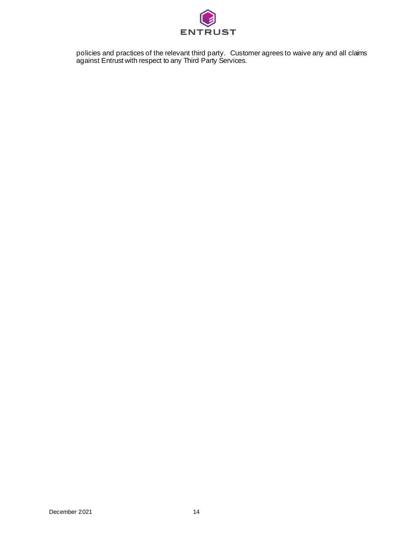

policies and practices of the relevant third party. Customer agrees to waive any and all claims against Entrust with respect to any Third Party Services.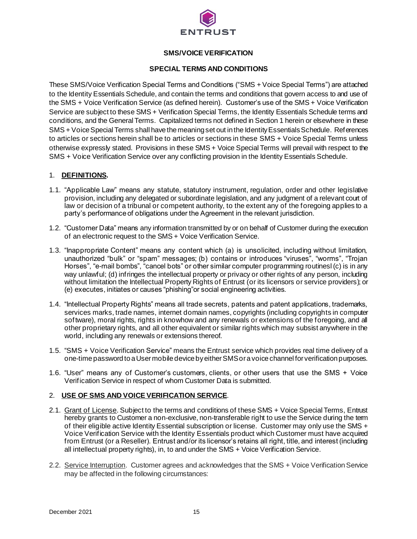

# **SMS/VOICE VERIFICATION**

# **SPECIAL TERMS AND CONDITIONS**

These SMS/Voice Verification Special Terms and Conditions ("SMS + Voice Special Terms") are attached to the Identity Essentials Schedule, and contain the terms and conditions that govern access to and use of the SMS + Voice Verification Service (as defined herein). Customer's use of the SMS + Voice Verification Service are subject to these SMS + Verification Special Terms, the Identity Essentials Schedule terms and conditions, and the General Terms. Capitalized terms not defined in Section 1 herein or elsewhere in these SMS + Voice Special Terms shall have the meaning set out in the Identity Essentials Schedule. References to articles or sections herein shall be to articles or sections in these SMS + Voice Special Terms unless otherwise expressly stated. Provisions in these SMS + Voice Special Terms will prevail with respect to the SMS + Voice Verification Service over any conflicting provision in the Identity Essentials Schedule.

## 1. **DEFINITIONS.**

- 1.1. "Applicable Law" means any statute, statutory instrument, regulation, order and other legislative provision, including any delegated or subordinate legislation, and any judgment of a relevant court of law or decision of a tribunal or competent authority, to the extent any of the foregoing applies to a party's performance of obligations under the Agreement in the relevant jurisdiction.
- 1.2. "Customer Data" means any information transmitted by or on behalf of Customer during the execution of an electronic request to the SMS + Voice Verification Service.
- 1.3. "Inappropriate Content" means any content which (a) is unsolicited, including without limitation, unauthorized "bulk" or "spam" messages; (b) contains or introduces "viruses", "worms", "Trojan Horses", "e-mail bombs", "cancel bots" or other similar computer programming routinesl (c) is in any way unlawful; (d) infringes the intellectual property or privacy or other rights of any person, including without limitation the Intellectual Property Rights of Entrust (or its licensors or service providers); or (e) executes, initiates or causes "phishing"or social engineering activities.
- 1.4. "Intellectual Property Rights" means all trade secrets, patents and patent applications, trademarks, services marks, trade names, internet domain names, copyrights (including copyrights in computer software), moral rights, rights in knowhow and any renewals or extensions of the foregoing, and all other proprietary rights, and all other equivalent or similar rights which may subsist anywhere in the world, including any renewals or extensions thereof.
- 1.5. "SMS + Voice Verification Service" means the Entrust service which provides real time delivery of a one-time password to a User mobile device by either SMS or a voice channel for verification purposes.
- 1.6. "User" means any of Customer's customers, clients, or other users that use the SMS + Voice Verification Service in respect of whom Customer Data is submitted.

# 2. **USE OF SMS AND VOICE VERIFICATION SERVICE**.

- 2.1. Grant of License. Subject to the terms and conditions of these SMS + Voice Special Terms, Entrust hereby grants to Customer a non-exclusive, non-transferable right to use the Service during the term of their eligible active Identity Essential subscription or license. Customer may only use the SMS + Voice Verification Service with the Identity Essentials product which Customer must have acquired from Entrust (or a Reseller). Entrust and/or its licensor's retains all right, title, and interest (including all intellectual property rights), in, to and under the SMS + Voice Verification Service.
- 2.2. Service Interruption. Customer agrees and acknowledges that the SMS + Voice Verification Service may be affected in the following circumstances: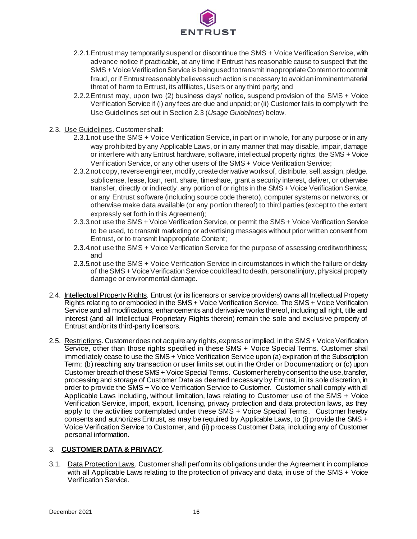

- 2.2.1.Entrust may temporarily suspend or discontinue the SMS + Voice Verification Service, with advance notice if practicable, at any time if Entrust has reasonable cause to suspect that the SMS + Voice Verification Service is being used to transmit Inappropriate Content or to commit fraud, or if Entrust reasonably believes such action is necessary to avoid an imminent material threat of harm to Entrust, its affiliates, Users or any third party; and
- 2.2.2.Entrust may, upon two (2) business days' notice, suspend provision of the SMS + Voice Verification Service if (i) any fees are due and unpaid; or (ii) Customer fails to comply with the Use Guidelines set out in Section 2.3 (*Usage Guidelines*) below.
- 2.3. Use Guidelines. Customer shall:
	- 2.3.1.not use the SMS + Voice Verification Service, in part or in whole, for any purpose or in any way prohibited by any Applicable Laws, or in any manner that may disable, impair, damage or interfere with any Entrust hardware, software, intellectual property rights, the SMS + Voice Verification Service, or any other users of the SMS + Voice Verification Service;
	- 2.3.2.not copy, reverse engineer, modify, create derivative works of, distribute, sell, assign, pledge, sublicense, lease, loan, rent, share, timeshare, grant a security interest, deliver, or otherwise transfer, directly or indirectly, any portion of or rights in the SMS + Voice Verification Service, or any Entrust software (including source code thereto), computer systems or networks, or otherwise make data available (or any portion thereof) to third parties (except to the extent expressly set forth in this Agreement);
	- 2.3.3.not use the SMS + Voice Verification Service, or permit the SMS + Voice Verification Service to be used, to transmit marketing or advertising messages without prior written consent from Entrust, or to transmit Inappropriate Content;
	- 2.3.4.not use the SMS + Voice Verification Service for the purpose of assessing creditworthiness; and
	- 2.3.5.not use the SMS + Voice Verification Service in circumstances in which the failure or delay of the SMS + Voice Verification Service could lead to death, personal injury, physical property damage or environmental damage.
- 2.4. Intellectual Property Rights. Entrust (or its licensors or service providers) owns all Intellectual Property Rights relating to or embodied in the SMS + Voice Verification Service. The SMS + Voice Verification Service and all modifications, enhancements and derivative works thereof, including all right, title and interest (and all Intellectual Proprietary Rights therein) remain the sole and exclusive property of Entrust and/or its third-party licensors.
- 2.5. Restrictions. Customer does not acquire any rights, express or implied, in the SMS + Voice Verification Service, other than those rights specified in these SMS + Voice Special Terms. Customer shall immediately cease to use the SMS + Voice Verification Service upon (a) expiration of the Subscription Term; (b) reaching any transaction or user limits set out in the Order or Documentation; or (c) upon Customer breach of these SMS + Voice Special Terms. Customer hereby consent to the use, transfer, processing and storage of Customer Data as deemed necessary by Entrust, in its sole discretion, in order to provide the SMS + Voice Verification Service to Customer. Customer shall comply with all Applicable Laws including, without limitation, laws relating to Customer use of the SMS + Voice Verification Service, import, export, licensing, privacy protection and data protection laws, as they apply to the activities contemplated under these SMS + Voice Special Terms. Customer hereby consents and authorizes Entrust, as may be required by Applicable Laws, to (i) provide the SMS + Voice Verification Service to Customer, and (ii) process Customer Data, including any of Customer personal information.

# 3. **CUSTOMER DATA & PRIVACY**.

3.1. Data Protection Laws. Customer shall perform its obligations under the Agreement in compliance with all Applicable Laws relating to the protection of privacy and data, in use of the SMS + Voice Verification Service.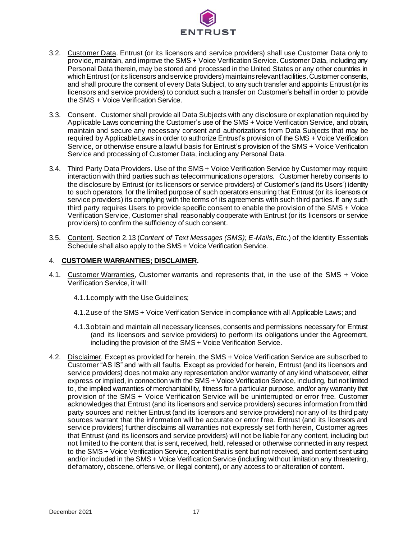

- 3.2. Customer Data. Entrust (or its licensors and service providers) shall use Customer Data only to provide, maintain, and improve the SMS + Voice Verification Service. Customer Data, including any Personal Data therein, may be stored and processed in the United States or any other countries in which Entrust (or its licensors and service providers) maintainsrelevantfacilities. Customer consents, and shall procure the consent of every Data Subject, to any such transfer and appoints Entrust (or its licensors and service providers) to conduct such a transfer on Customer's behalf in order to provide the SMS + Voice Verification Service.
- 3.3. Consent. Customer shall provide all Data Subjects with any disclosure or explanation required by Applicable Laws concerning the Customer's use of the SMS + Voice Verification Service, and obtain, maintain and secure any necessary consent and authorizations from Data Subjects that may be required by Applicable Laws in order to authorize Entrust's provision of the SMS + Voice Verification Service, or otherwise ensure a lawful basis for Entrust's provision of the SMS + Voice Verification Service and processing of Customer Data, including any Personal Data.
- 3.4. Third Party Data Providers. Use of the SMS + Voice Verification Service by Customer may require interaction with third parties such as telecommunications operators. Customer hereby consents to the disclosure by Entrust (or its licensors or service providers) of Customer's (and its Users') identity to such operators, for the limited purpose of such operators ensuring that Entrust (or its licensors or service providers) its complying with the terms of its agreements with such third parties. If any such third party requires Users to provide specific consent to enable the provision of the SMS + Voice Verification Service, Customer shall reasonably cooperate with Entrust (or its licensors or service providers) to confirm the sufficiency of such consent.
- 3.5. Content. Section 2.13 (*Content of Text Messages (SMS); E-Mails, Etc.*) of the Identity Essentials Schedule shall also apply to the SMS + Voice Verification Service.

## 4. **CUSTOMER WARRANTIES; DISCLAIMER.**

- 4.1. Customer Warranties, Customer warrants and represents that, in the use of the SMS + Voice Verification Service, it will:
	- 4.1.1.comply with the Use Guidelines;
	- 4.1.2.use of the SMS + Voice Verification Service in compliance with all Applicable Laws; and
	- 4.1.3.obtain and maintain all necessary licenses, consents and permissions necessary for Entrust (and its licensors and service providers) to perform its obligations under the Agreement, including the provision of the SMS + Voice Verification Service.
- 4.2. Disclaimer. Except as provided for herein, the SMS + Voice Verification Service are subscribed to Customer "AS IS" and with all faults. Except as provided for herein, Entrust (and its licensors and service providers) does not make any representation and/or warranty of any kind whatsoever, either express or implied, in connection with the SMS + Voice Verification Service, including, but not limited to, the implied warranties of merchantability, fitness for a particular purpose, and/or any warranty that provision of the SMS + Voice Verification Service will be uninterrupted or error free. Customer acknowledges that Entrust (and its licensors and service providers) secures information from third party sources and neither Entrust (and its licensors and service providers) nor any of its third party sources warrant that the information will be accurate or error free. Entrust (and its licensors and service providers) further disclaims all warranties not expressly set forth herein, Customer agrees that Entrust (and its licensors and service providers) will not be liable for any content, including but not limited to the content that is sent, received, held, released or otherwise connected in any respect to the SMS + Voice Verification Service, content that is sent but not received, and content sent using and/or included in the SMS + Voice Verification Service (including without limitation any threatening, defamatory, obscene, offensive, or illegal content), or any access to or alteration of content.